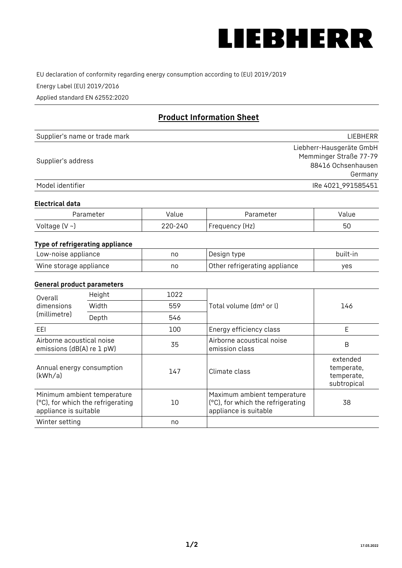

EU declaration of conformity regarding energy consumption according to (EU) 2019/2019

Energy Label (EU) 2019/2016

Applied standard EN 62552:2020

# **Product Information Sheet**

| Supplier's name or trade mark | <b>LIFBHFRR</b>          |
|-------------------------------|--------------------------|
|                               | Liebherr-Hausgeräte GmbH |
| Supplier's address            | Memminger Straße 77-79   |
|                               | 88416 Ochsenhausen       |
|                               | Germany                  |
| Model identifier              | IRe 4021 991585451       |

## **Electrical data**

| Parameter     | Value   | Parameter      | Value |
|---------------|---------|----------------|-------|
| Voltage (V ~) | 220-240 | Frequency (Hz) | 50    |

# **Type of refrigerating appliance**

| Low-noise appliance    | no | Design type                   | built-in |
|------------------------|----|-------------------------------|----------|
| Wine storage appliance | no | Other refrigerating appliance | ves      |

## **General product parameters**

| Height<br>Overall                                      |                                                                  | 1022 |                                                                                           |                                                     |
|--------------------------------------------------------|------------------------------------------------------------------|------|-------------------------------------------------------------------------------------------|-----------------------------------------------------|
| dimensions<br>(millimetre)                             | Width                                                            | 559  | Total volume (dm <sup>3</sup> or l)                                                       | 146                                                 |
|                                                        | Depth                                                            | 546  |                                                                                           |                                                     |
| EEL                                                    |                                                                  | 100  | Energy efficiency class                                                                   | E                                                   |
| Airborne acoustical noise<br>emissions (dB(A) re 1 pW) |                                                                  | 35   | Airborne acoustical noise<br>emission class                                               | B                                                   |
| Annual energy consumption<br>(kWh/a)                   |                                                                  | 147  | Climate class                                                                             | extended<br>temperate,<br>temperate,<br>subtropical |
| appliance is suitable                                  | Minimum ambient temperature<br>(°C), for which the refrigerating | 10   | Maximum ambient temperature<br>(°C), for which the refrigerating<br>appliance is suitable | 38                                                  |
| Winter setting                                         |                                                                  | no   |                                                                                           |                                                     |